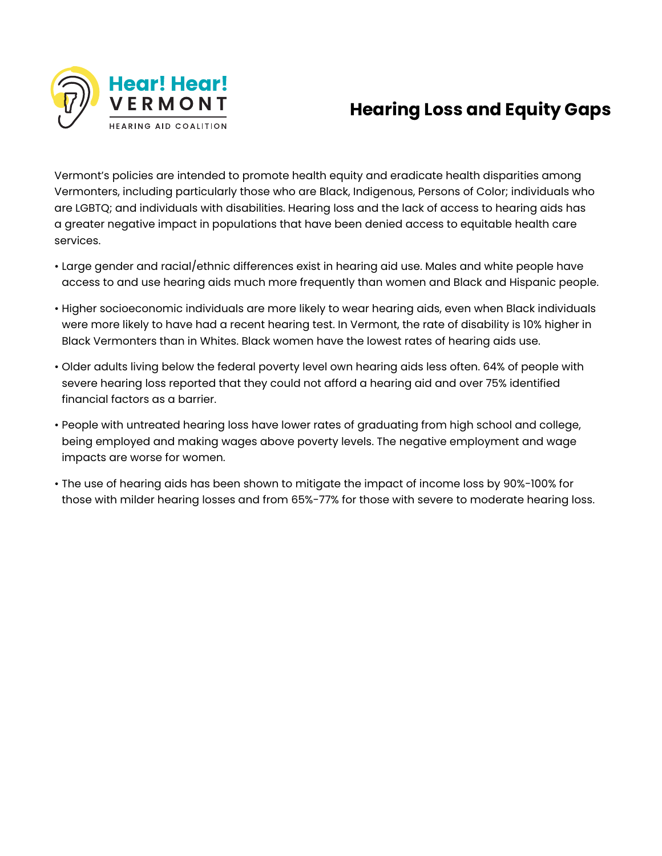

## **Hearing Loss and Equity Gaps**

Vermont's policies are intended to promote health equity and eradicate health disparities among Vermonters, including particularly those who are Black, Indigenous, Persons of Color; individuals who are LGBTQ; and individuals with disabilities. Hearing loss and the lack of access to hearing aids has a greater negative impact in populations that have been denied access to equitable health care services.

- Large gender and racial/ethnic differences exist in hearing aid use. Males and white people have access to and use hearing aids much more frequently than women and Black and Hispanic people.
- Higher socioeconomic individuals are more likely to wear hearing aids, even when Black individuals were more likely to have had a recent hearing test. In Vermont, the rate of disability is 10% higher in Black Vermonters than in Whites. Black women have the lowest rates of hearing aids use.
- Older adults living below the federal poverty level own hearing aids less often. 64% of people with severe hearing loss reported that they could not afford a hearing aid and over 75% identified financial factors as a barrier.
- People with untreated hearing loss have lower rates of graduating from high school and college, being employed and making wages above poverty levels. The negative employment and wage impacts are worse for women.
- The use of hearing aids has been shown to mitigate the impact of income loss by 90%-100% for those with milder hearing losses and from 65%-77% for those with severe to moderate hearing loss.